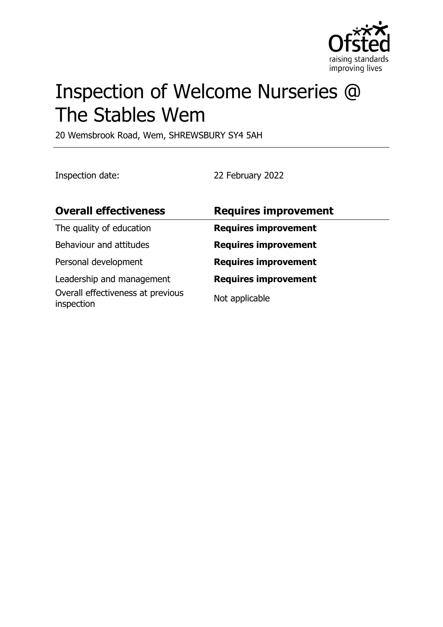

# Inspection of Welcome Nurseries @ The Stables Wem

20 Wemsbrook Road, Wem, SHREWSBURY SY4 5AH

Inspection date: 22 February 2022

| <b>Overall effectiveness</b>                    | <b>Requires improvement</b> |
|-------------------------------------------------|-----------------------------|
| The quality of education                        | <b>Requires improvement</b> |
| Behaviour and attitudes                         | <b>Requires improvement</b> |
| Personal development                            | <b>Requires improvement</b> |
| Leadership and management                       | <b>Requires improvement</b> |
| Overall effectiveness at previous<br>inspection | Not applicable              |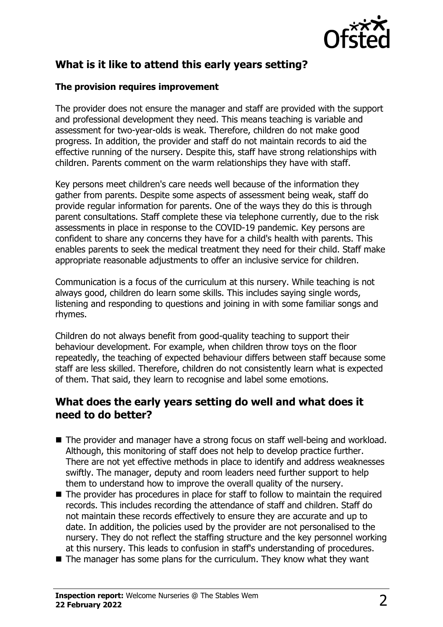

# **What is it like to attend this early years setting?**

#### **The provision requires improvement**

The provider does not ensure the manager and staff are provided with the support and professional development they need. This means teaching is variable and assessment for two-year-olds is weak. Therefore, children do not make good progress. In addition, the provider and staff do not maintain records to aid the effective running of the nursery. Despite this, staff have strong relationships with children. Parents comment on the warm relationships they have with staff.

Key persons meet children's care needs well because of the information they gather from parents. Despite some aspects of assessment being weak, staff do provide regular information for parents. One of the ways they do this is through parent consultations. Staff complete these via telephone currently, due to the risk assessments in place in response to the COVID-19 pandemic. Key persons are confident to share any concerns they have for a child's health with parents. This enables parents to seek the medical treatment they need for their child. Staff make appropriate reasonable adjustments to offer an inclusive service for children.

Communication is a focus of the curriculum at this nursery. While teaching is not always good, children do learn some skills. This includes saying single words, listening and responding to questions and joining in with some familiar songs and rhymes.

Children do not always benefit from good-quality teaching to support their behaviour development. For example, when children throw toys on the floor repeatedly, the teaching of expected behaviour differs between staff because some staff are less skilled. Therefore, children do not consistently learn what is expected of them. That said, they learn to recognise and label some emotions.

### **What does the early years setting do well and what does it need to do better?**

- $\blacksquare$  The provider and manager have a strong focus on staff well-being and workload. Although, this monitoring of staff does not help to develop practice further. There are not yet effective methods in place to identify and address weaknesses swiftly. The manager, deputy and room leaders need further support to help them to understand how to improve the overall quality of the nursery.
- $\blacksquare$  The provider has procedures in place for staff to follow to maintain the required records. This includes recording the attendance of staff and children. Staff do not maintain these records effectively to ensure they are accurate and up to date. In addition, the policies used by the provider are not personalised to the nursery. They do not reflect the staffing structure and the key personnel working at this nursery. This leads to confusion in staff's understanding of procedures.
- $\blacksquare$  The manager has some plans for the curriculum. They know what they want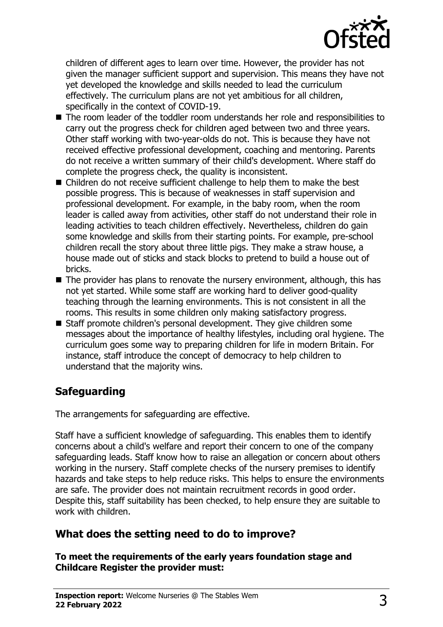

children of different ages to learn over time. However, the provider has not given the manager sufficient support and supervision. This means they have not yet developed the knowledge and skills needed to lead the curriculum effectively. The curriculum plans are not yet ambitious for all children, specifically in the context of COVID-19.

- $\blacksquare$  The room leader of the toddler room understands her role and responsibilities to carry out the progress check for children aged between two and three years. Other staff working with two-year-olds do not. This is because they have not received effective professional development, coaching and mentoring. Parents do not receive a written summary of their child's development. Where staff do complete the progress check, the quality is inconsistent.
- $\blacksquare$  Children do not receive sufficient challenge to help them to make the best possible progress. This is because of weaknesses in staff supervision and professional development. For example, in the baby room, when the room leader is called away from activities, other staff do not understand their role in leading activities to teach children effectively. Nevertheless, children do gain some knowledge and skills from their starting points. For example, pre-school children recall the story about three little pigs. They make a straw house, a house made out of sticks and stack blocks to pretend to build a house out of bricks.
- $\blacksquare$  The provider has plans to renovate the nursery environment, although, this has not yet started. While some staff are working hard to deliver good-quality teaching through the learning environments. This is not consistent in all the rooms. This results in some children only making satisfactory progress.
- $\blacksquare$  Staff promote children's personal development. They give children some messages about the importance of healthy lifestyles, including oral hygiene. The curriculum goes some way to preparing children for life in modern Britain. For instance, staff introduce the concept of democracy to help children to understand that the majority wins.

# **Safeguarding**

The arrangements for safeguarding are effective.

Staff have a sufficient knowledge of safeguarding. This enables them to identify concerns about a child's welfare and report their concern to one of the company safeguarding leads. Staff know how to raise an allegation or concern about others working in the nursery. Staff complete checks of the nursery premises to identify hazards and take steps to help reduce risks. This helps to ensure the environments are safe. The provider does not maintain recruitment records in good order. Despite this, staff suitability has been checked, to help ensure they are suitable to work with children.

## **What does the setting need to do to improve?**

#### **To meet the requirements of the early years foundation stage and Childcare Register the provider must:**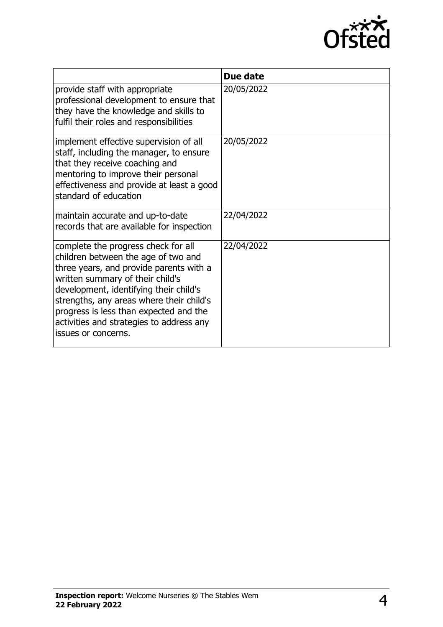

|                                                                                                                                                                                                                                                                                                                                                              | Due date   |
|--------------------------------------------------------------------------------------------------------------------------------------------------------------------------------------------------------------------------------------------------------------------------------------------------------------------------------------------------------------|------------|
| provide staff with appropriate<br>professional development to ensure that<br>they have the knowledge and skills to<br>fulfil their roles and responsibilities                                                                                                                                                                                                | 20/05/2022 |
| implement effective supervision of all<br>staff, including the manager, to ensure<br>that they receive coaching and<br>mentoring to improve their personal<br>effectiveness and provide at least a good<br>standard of education                                                                                                                             | 20/05/2022 |
| maintain accurate and up-to-date<br>records that are available for inspection                                                                                                                                                                                                                                                                                | 22/04/2022 |
| complete the progress check for all<br>children between the age of two and<br>three years, and provide parents with a<br>written summary of their child's<br>development, identifying their child's<br>strengths, any areas where their child's<br>progress is less than expected and the<br>activities and strategies to address any<br>issues or concerns. | 22/04/2022 |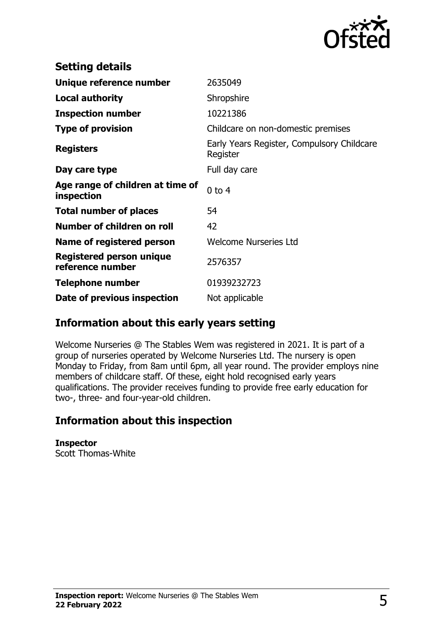

| <b>Setting details</b>                         |                                                        |
|------------------------------------------------|--------------------------------------------------------|
| Unique reference number                        | 2635049                                                |
| <b>Local authority</b>                         | Shropshire                                             |
| <b>Inspection number</b>                       | 10221386                                               |
| <b>Type of provision</b>                       | Childcare on non-domestic premises                     |
| <b>Registers</b>                               | Early Years Register, Compulsory Childcare<br>Register |
| Day care type                                  | Full day care                                          |
| Age range of children at time of<br>inspection | $0$ to $4$                                             |
| <b>Total number of places</b>                  | 54                                                     |
| Number of children on roll                     | 42                                                     |
| Name of registered person                      | <b>Welcome Nurseries Ltd</b>                           |
| Registered person unique<br>reference number   | 2576357                                                |
| <b>Telephone number</b>                        | 01939232723                                            |
| Date of previous inspection                    | Not applicable                                         |

## **Information about this early years setting**

Welcome Nurseries @ The Stables Wem was registered in 2021. It is part of a group of nurseries operated by Welcome Nurseries Ltd. The nursery is open Monday to Friday, from 8am until 6pm, all year round. The provider employs nine members of childcare staff. Of these, eight hold recognised early years qualifications. The provider receives funding to provide free early education for two-, three- and four-year-old children.

## **Information about this inspection**

**Inspector** Scott Thomas-White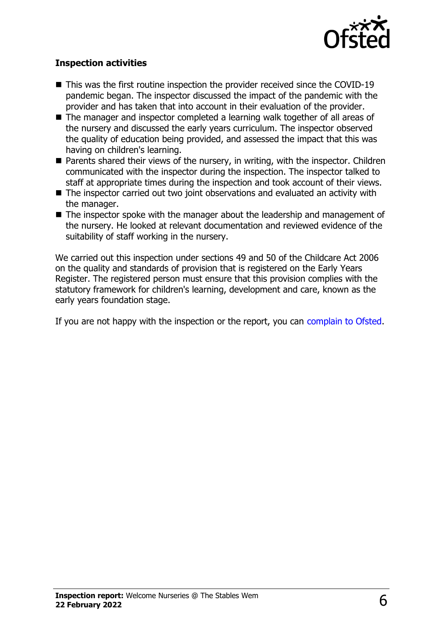

#### **Inspection activities**

- $\blacksquare$  This was the first routine inspection the provider received since the COVID-19 pandemic began. The inspector discussed the impact of the pandemic with the provider and has taken that into account in their evaluation of the provider.
- The manager and inspector completed a learning walk together of all areas of the nursery and discussed the early years curriculum. The inspector observed the quality of education being provided, and assessed the impact that this was having on children's learning.
- Parents shared their views of the nursery, in writing, with the inspector. Children communicated with the inspector during the inspection. The inspector talked to staff at appropriate times during the inspection and took account of their views.
- $\blacksquare$  The inspector carried out two joint observations and evaluated an activity with the manager.
- $\blacksquare$  The inspector spoke with the manager about the leadership and management of the nursery. He looked at relevant documentation and reviewed evidence of the suitability of staff working in the nursery.

We carried out this inspection under sections 49 and 50 of the Childcare Act 2006 on the quality and standards of provision that is registered on the Early Years Register. The registered person must ensure that this provision complies with the statutory framework for children's learning, development and care, known as the early years foundation stage.

If you are not happy with the inspection or the report, you can [complain to Ofsted](http://www.gov.uk/complain-ofsted-report).